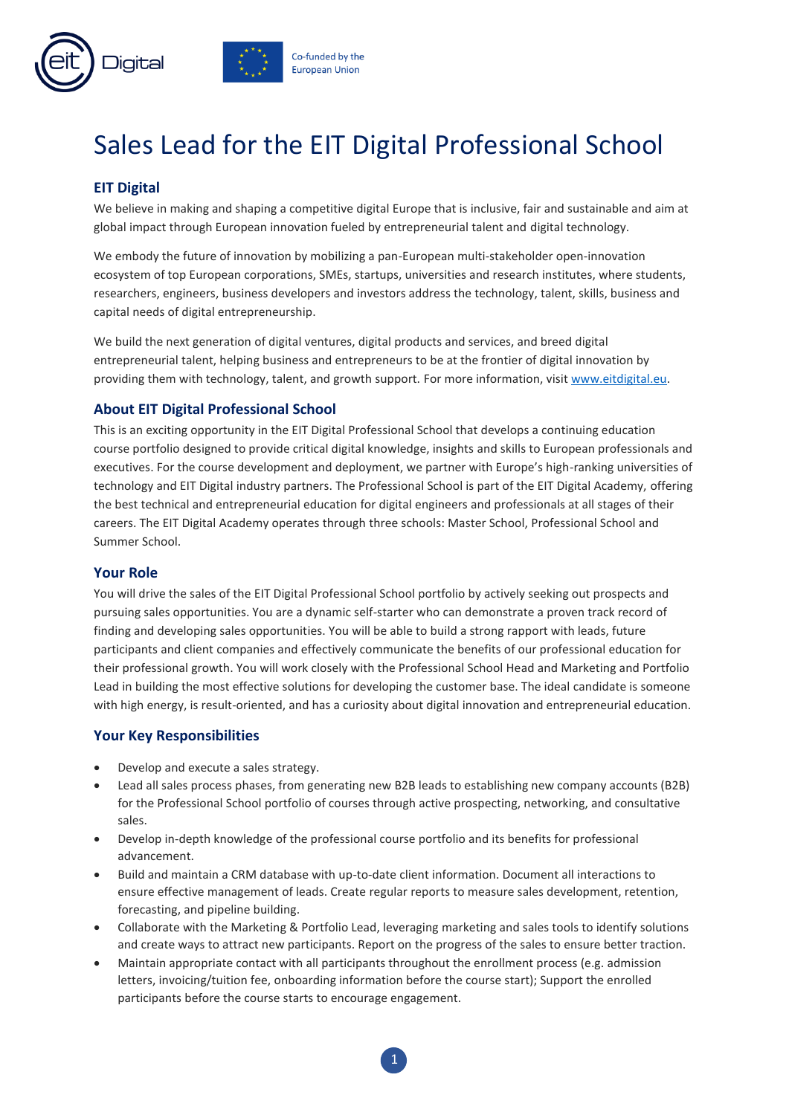

# Sales Lead for the EIT Digital Professional School

# **EIT Digital**

We believe in making and shaping a competitive digital Europe that is inclusive, fair and sustainable and aim at global impact through European innovation fueled by entrepreneurial talent and digital technology.

We embody the future of innovation by mobilizing a pan-European multi-stakeholder open-innovation ecosystem of top European corporations, SMEs, startups, universities and research institutes, where students, researchers, engineers, business developers and investors address the technology, talent, skills, business and capital needs of digital entrepreneurship.

We build the next generation of digital ventures, digital products and services, and breed digital entrepreneurial talent, helping business and entrepreneurs to be at the frontier of digital innovation by providing them with technology, talent, and growth support. For more information, visit [www.eitdigital.eu.](http://www.eitdigital.eu/)

# **About EIT Digital Professional School**

This is an exciting opportunity in the EIT Digital Professional School that develops a continuing education course portfolio designed to provide critical digital knowledge, insights and skills to European professionals and executives. For the course development and deployment, we partner with Europe's high-ranking universities of technology and EIT Digital industry partners. The Professional School is part of the EIT Digital Academy, offering the best technical and entrepreneurial education for digital engineers and professionals at all stages of their careers. The EIT Digital Academy operates through three schools: Master School, Professional School and Summer School.

# **Your Role**

You will drive the sales of the EIT Digital Professional School portfolio by actively seeking out prospects and pursuing sales opportunities. You are a dynamic self-starter who can demonstrate a proven track record of finding and developing sales opportunities. You will be able to build a strong rapport with leads, future participants and client companies and effectively communicate the benefits of our professional education for their professional growth. You will work closely with the Professional School Head and Marketing and Portfolio Lead in building the most effective solutions for developing the customer base. The ideal candidate is someone with high energy, is result-oriented, and has a curiosity about digital innovation and entrepreneurial education.

# **Your Key Responsibilities**

- Develop and execute a sales strategy.
- Lead all sales process phases, from generating new B2B leads to establishing new company accounts (B2B) for the Professional School portfolio of courses through active prospecting, networking, and consultative sales.
- Develop in-depth knowledge of the professional course portfolio and its benefits for professional advancement.
- Build and maintain a CRM database with up-to-date client information. Document all interactions to ensure effective management of leads. Create regular reports to measure sales development, retention, forecasting, and pipeline building.
- Collaborate with the Marketing & Portfolio Lead, leveraging marketing and sales tools to identify solutions and create ways to attract new participants. Report on the progress of the sales to ensure better traction.
- Maintain appropriate contact with all participants throughout the enrollment process (e.g. admission letters, invoicing/tuition fee, onboarding information before the course start); Support the enrolled participants before the course starts to encourage engagement.